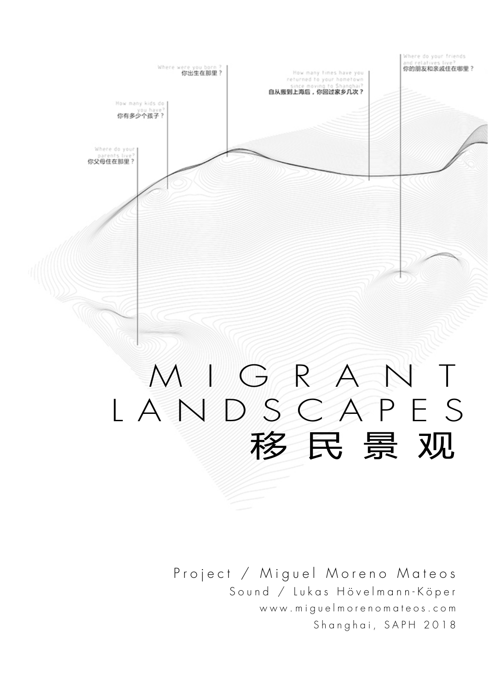

## MIGRANT LANDSCAPES 移民景观

Project / Miguel Moreno Mateos Sound / Lukas Hövelmann-Köper www.miguelmorenomateos.com Shanghai, SAPH 2018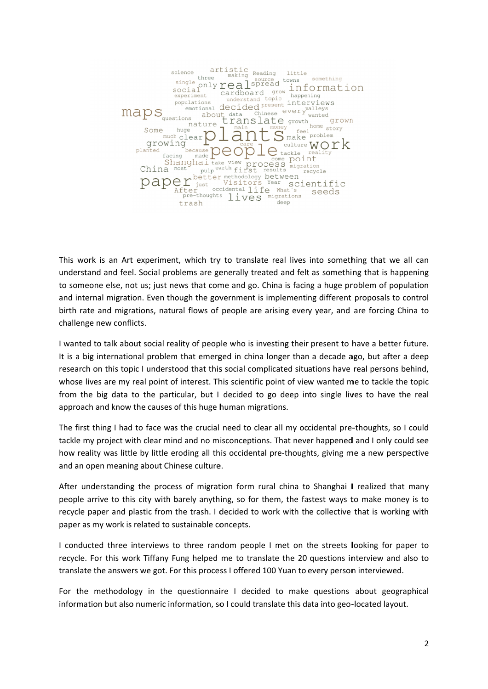

This work is an Art experiment, which try to translate real lives into something that we all can understand and feel. Social problems are generally treated and felt as something that is happening to someone else, not us; just news that come and go. China is facing a huge problem of population and internal migration. Even though the government is implementing different proposals to control birth rate and migrations, natural flows of people are arising every year, and are forcing China to challenge new conflicts.

I wanted to talk about social reality of people who is investing their present to have a better future. It is a big international problem that emerged in china longer than a decade ago, but after a deep research on this topic I understood that this social complicated situations have real persons behind, whose lives are my real point of interest. This scientific point of view wanted me to tackle the topic from the big data to the particular, but I decided to go deep into single lives to have the real approach and know the causes of this huge human migrations.

The first thing I had to face was the crucial need to clear all my occidental pre-thoughts, so I could tackle my project with clear mind and no misconceptions. That never happened and I only could see how reality was little by little eroding all this occidental pre-thoughts, giving me a new perspective and an open meaning about Chinese culture.

After understanding the process of migration form rural china to Shanghai I realized that many people arrive to this city with barely anything, so for them, the fastest ways to make money is to recycle paper and plastic from the trash. I decided to work with the collective that is working with paper as my work is related to sustainable concepts.

I conducted three interviews to three random people I met on the streets looking for paper to recycle. For this work Tiffany Fung helped me to translate the 20 questions interview and also to translate the answers we got. For this process I offered 100 Yuan to every person interviewed.

For the methodology in the questionnaire I decided to make questions about geographical information but also numeric information, so I could translate this data into geo-located layout.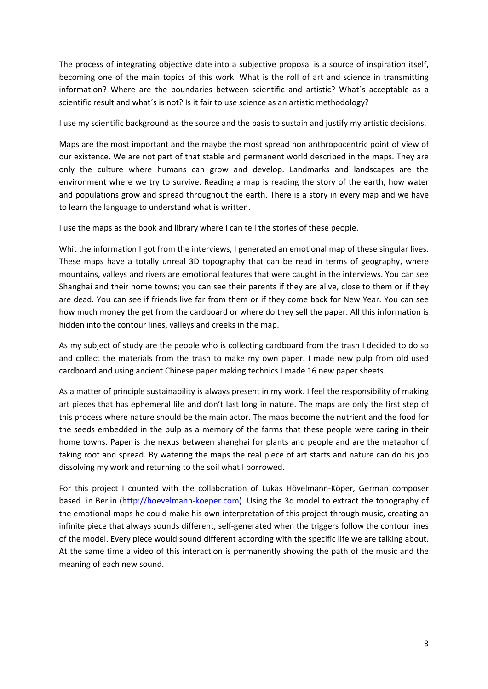The process of integrating objective date into a subjective proposal is a source of inspiration itself, becoming one of the main topics of this work. What is the roll of art and science in transmitting information? Where are the boundaries between scientific and artistic? What´s acceptable as a scientific result and what´s is not? Is it fair to use science as an artistic methodology?

I use my scientific background as the source and the basis to sustain and justify my artistic decisions.

Maps are the most important and the maybe the most spread non anthropocentric point of view of our existence. We are not part of that stable and permanent world described in the maps. They are only the culture where humans can grow and develop. Landmarks and landscapes are the environment where we try to survive. Reading a map is reading the story of the earth, how water and populations grow and spread throughout the earth. There is a story in every map and we have to learn the language to understand what is written.

I use the maps as the book and library where I can tell the stories of these people.

Whit the information I got from the interviews, I generated an emotional map of these singular lives. These maps have a totally unreal 3D topography that can be read in terms of geography, where mountains, valleys and rivers are emotional features that were caught in the interviews. You can see Shanghai and their home towns; you can see their parents if they are alive, close to them or if they are dead. You can see if friends live far from them or if they come back for New Year. You can see how much money the get from the cardboard or where do they sell the paper. All this information is hidden into the contour lines, valleys and creeks in the map.

As my subject of study are the people who is collecting cardboard from the trash I decided to do so and collect the materials from the trash to make my own paper. I made new pulp from old used cardboard and using ancient Chinese paper making technics I made 16 new paper sheets.

As a matter of principle sustainability is always present in my work. I feel the responsibility of making art pieces that has ephemeral life and don't last long in nature. The maps are only the first step of this process where nature should be the main actor. The maps become the nutrient and the food for the seeds embedded in the pulp as a memory of the farms that these people were caring in their home towns. Paper is the nexus between shanghai for plants and people and are the metaphor of taking root and spread. By watering the maps the real piece of art starts and nature can do his job dissolving my work and returning to the soil what I borrowed.

For this project I counted with the collaboration of Lukas Hövelmann‐Köper, German composer based in Berlin (http://hoevelmann‐koeper.com). Using the 3d model to extract the topography of the emotional maps he could make his own interpretation of this project through music, creating an infinite piece that always sounds different, self‐generated when the triggers follow the contour lines of the model. Every piece would sound different according with the specific life we are talking about. At the same time a video of this interaction is permanently showing the path of the music and the meaning of each new sound.